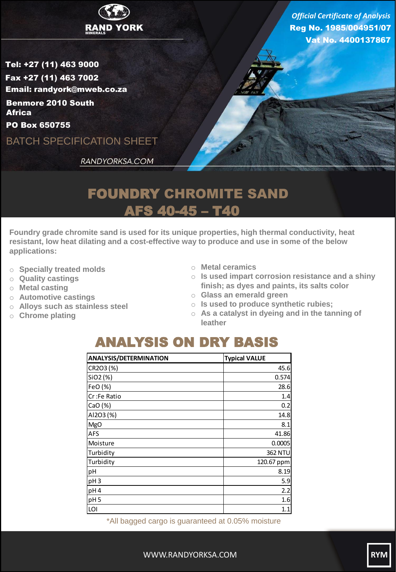

Reg No. 1985/004951/07 Vat No. 4400137867 *Official Certificate of Analysis*

Tel: +27 (11) 463 9000 Fax +27 (11) 463 7002 Email: randyork@mweb.co.za Benmore 2010 South **Africa** 

PO Box 650755

BATCH SPECIFICATION SHEET

RANDYORKSA.COM

## FOUNDRY CHROMITE SAND AFS 40-45 – T40

**Foundry grade chromite sand is used for its unique properties, high thermal conductivity, heat resistant, low heat dilating and a cost-effective way to produce and use in some of the below applications:**

- o **Specially treated molds**
- o **Quality castings**
- o **Metal casting**
- o **Automotive castings**
- o **Alloys such as stainless steel**
- o **Chrome plating**
- o **Metal ceramics**
- o **Is used impart corrosion resistance and a shiny finish; as dyes and paints, its salts color**
- o **Glass an emerald green**
- o **Is used to produce synthetic rubies;**
- o **As a catalyst in dyeing and in the tanning of leather**

## ANALYSIS ON DRY BASIS

| <b>ANALYSIS/DETERMINATION</b> | <b>Typical VALUE</b> |
|-------------------------------|----------------------|
| CR2O3 (%)                     | 45.6                 |
| SiO <sub>2</sub> (%)          | 0.574                |
| FeO (%)                       | 28.6                 |
| lCr :Fe Ratio                 | 1.4                  |
| CaO(%)                        | 0.2                  |
| AI2O3 (%)                     | 14.8                 |
| <b>MgO</b>                    | 8.1                  |
| <b>AFS</b>                    | 41.86                |
| Moisture                      | 0.0005               |
| Turbidity                     | <b>362 NTU</b>       |
| Turbidity                     | 120.67 ppm           |
| pH                            | 8.19                 |
| pH <sub>3</sub>               | 5.9                  |
| pH <sub>4</sub>               | 2.2                  |
| pH <sub>5</sub>               | 1.6                  |
| LOI                           | 1.1                  |

\*All bagged cargo is guaranteed at 0.05% moisture